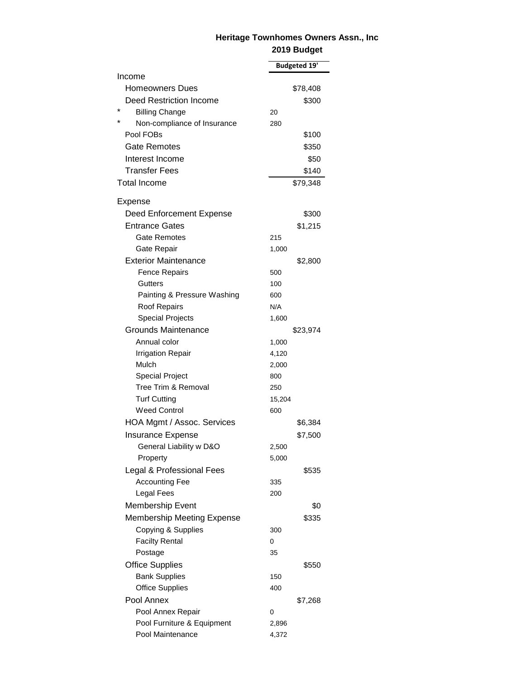## **Heritage Townhomes Owners Assn., Inc 2019 Budget**

|                                        | <b>Budgeted 19'</b> |
|----------------------------------------|---------------------|
| Income                                 |                     |
| <b>Homeowners Dues</b>                 | \$78,408            |
| Deed Restriction Income                | \$300               |
| *<br><b>Billing Change</b>             | 20                  |
| $\star$<br>Non-compliance of Insurance | 280                 |
| Pool FOBs                              | \$100               |
| Gate Remotes                           | \$350               |
| Interest Income                        | \$50                |
| <b>Transfer Fees</b>                   | \$140               |
| <b>Total Income</b>                    | \$79,348            |
| Expense                                |                     |
| Deed Enforcement Expense               | \$300               |
| <b>Entrance Gates</b>                  | \$1,215             |
| Gate Remotes                           | 215                 |
| Gate Repair                            | 1,000               |
| <b>Exterior Maintenance</b>            | \$2,800             |
| <b>Fence Repairs</b>                   | 500                 |
| Gutters                                | 100                 |
| Painting & Pressure Washing            | 600                 |
| Roof Repairs                           | N/A                 |
| <b>Special Projects</b>                | 1,600               |
| Grounds Maintenance                    | \$23,974            |
| Annual color                           | 1,000               |
| <b>Irrigation Repair</b>               | 4,120               |
| Mulch                                  | 2,000               |
| <b>Special Project</b>                 | 800                 |
| Tree Trim & Removal                    | 250                 |
| <b>Turf Cutting</b>                    | 15,204              |
| <b>Weed Control</b>                    | 600                 |
| HOA Mgmt / Assoc. Services             | \$6,384             |
| <b>Insurance Expense</b>               | \$7,500             |
| General Liability w D&O                | 2,500               |
| Property                               | 5,000               |
| Legal & Professional Fees              | \$535               |
| <b>Accounting Fee</b>                  | 335                 |
| <b>Legal Fees</b>                      | 200                 |
| Membership Event                       | \$0                 |
| <b>Membership Meeting Expense</b>      | \$335               |
| Copying & Supplies                     | 300                 |
| <b>Facilty Rental</b>                  | 0                   |
| Postage                                | 35                  |
| <b>Office Supplies</b>                 | \$550               |
| <b>Bank Supplies</b>                   | 150                 |
| <b>Office Supplies</b>                 | 400                 |
| Pool Annex                             | \$7,268             |
| Pool Annex Repair                      | 0                   |
| Pool Furniture & Equipment             | 2,896               |
| Pool Maintenance                       | 4,372               |
|                                        |                     |